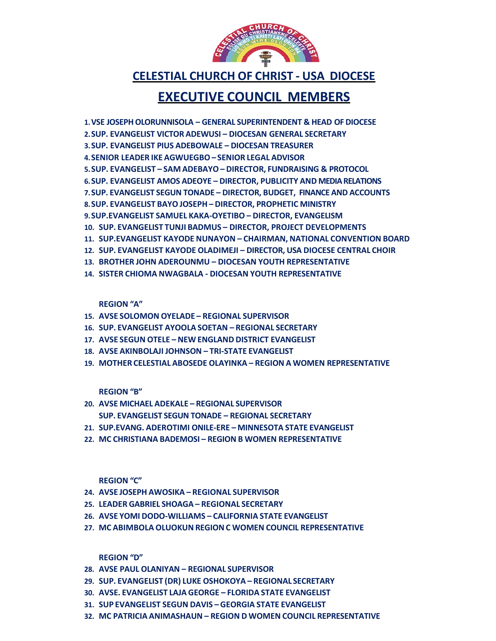- **32. MC PATRICIA ANIMASHAUN REGION D WOMEN COUNCIL REPRESENTATIVE**
- **31. SUP EVANGELIST SEGUN DAVIS GEORGIA STATE EVANGELIST**
- **30. AVSE. EVANGELIST LAJA GEORGE FLORIDA STATE EVANGELIST**
- **29. SUP. EVANGELIST (DR) LUKE OSHOKOYA REGIONAL SECRETARY**
- **28. AVSE PAUL OLANIYAN REGIONAL SUPERVISOR**

**REGION "D"**

- **27. MC ABIMBOLA OLUOKUN REGIONC WOMEN COUNCIL REPRESENTATIVE**
- **26. AVSE YOMI DODO-WILLIAMS CALIFORNIA STATE EVANGELIST**
- **25. LEADER GABRIEL SHOAGA REGIONAL SECRETARY**
- **24. AVSE JOSEPH AWOSIKA REGIONAL SUPERVISOR**

**REGION "C"**

- **22. MC CHRISTIANA BADEMOSI REGION B WOMEN REPRESENTATIVE**
- **21. SUP.EVANG. ADEROTIMI ONILE-ERE MINNESOTA STATE EVANGELIST**
- **20. AVSE MICHAEL ADEKALE REGIONAL SUPERVISOR SUP. EVANGELIST SEGUN TONADE – REGIONAL SECRETARY**

**REGION "B"**

- **19. MOTHER CELESTIAL ABOSEDE OLAYINKA REGION A WOMEN REPRESENTATIVE**
- **18. AVSE AKINBOLAJI JOHNSON TRI-STATE EVANGELIST**
- **17. AVSE SEGUN OTELE NEW ENGLAND DISTRICT EVANGELIST**
- **16. SUP. EVANGELIST AYOOLA SOETAN REGIONAL SECRETARY**
- **15. AVSE SOLOMON OYELADE REGIONAL SUPERVISOR**

**REGION "A"**

- **14. SISTER CHIOMA NWAGBALA DIOCESAN YOUTH REPRESENTATIVE**
- **13. BROTHER JOHN ADEROUNMU DIOCESAN YOUTH REPRESENTATIVE**
- **12. SUP. EVANGELIST KAYODE OLADIMEJI DIRECTOR, USA DIOCESE CENTRAL CHOIR**
- **10. SUP. EVANGELIST TUNJI BADMUS DIRECTOR, PROJECT DEVELOPMENTS 11. SUP.EVANGELIST KAYODE NUNAYON – CHAIRMAN, NATIONAL CONVENTION BOARD**
- **9.SUP.EVANGELIST SAMUEL KAKA-OYETIBO DIRECTOR, EVANGELISM**
- **8.SUP. EVANGELIST BAYO JOSEPH DIRECTOR, PROPHETIC MINISTRY**
- **7.SUP. EVANGELIST SEGUN TONADE DIRECTOR, BUDGET, FINANCE AND ACCOUNTS**
- **6.SUP. EVANGELIST AMOS ADEOYE DIRECTOR, PUBLICITY AND MEDIA RELATIONS**
- **5.SUP. EVANGELIST SAM ADEBAYO DIRECTOR, FUNDRAISING & PROTOCOL**
- **4.SENIOR LEADER IKE AGWUEGBO SENIOR LEGAL ADVISOR**
- **3.SUP. EVANGELIST PIUS ADEBOWALE DIOCESAN TREASURER**
- **2.SUP. EVANGELIST VICTOR ADEWUSI DIOCESAN GENERAL SECRETARY**
- 
- **1.VSE JOSEPHOLORUNNISOLA GENERAL SUPERINTENDENT & HEAD OF DIOCESE**
- 
- **EXECUTIVE COUNCIL MEMBERS**



**CELESTIAL CHURCH OF CHRIST - USA DIOCESE**